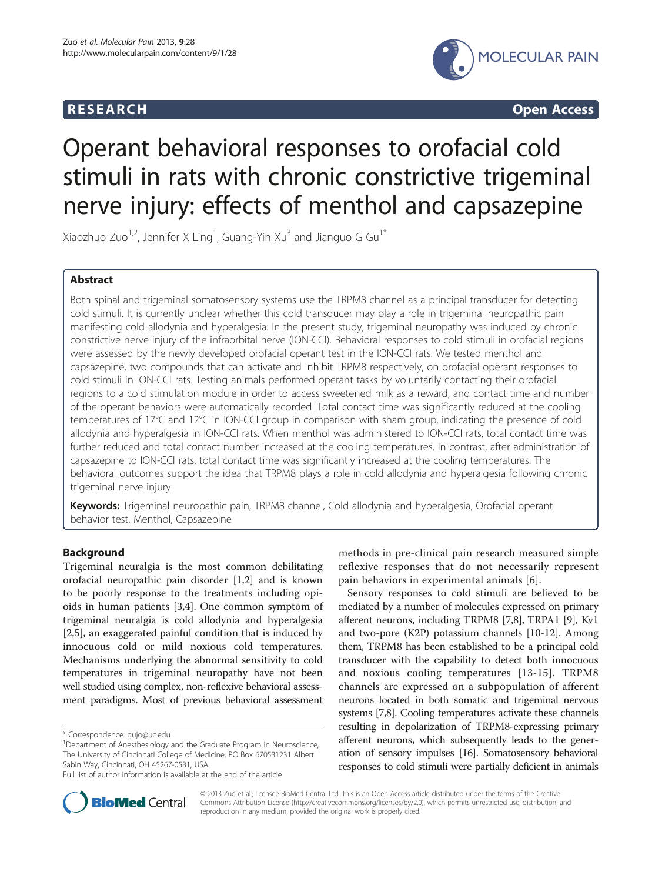## **RESEARCH CHINESEARCH CHINESEARCH CHINESE**



# Operant behavioral responses to orofacial cold stimuli in rats with chronic constrictive trigeminal nerve injury: effects of menthol and capsazepine

Xiaozhuo Zuo $^{1,2}$ , Jennifer X Ling $^1$ , Guang-Yin Xu $^3$  and Jianguo G Gu $^{1^\ast}$ 

## Abstract

Both spinal and trigeminal somatosensory systems use the TRPM8 channel as a principal transducer for detecting cold stimuli. It is currently unclear whether this cold transducer may play a role in trigeminal neuropathic pain manifesting cold allodynia and hyperalgesia. In the present study, trigeminal neuropathy was induced by chronic constrictive nerve injury of the infraorbital nerve (ION-CCI). Behavioral responses to cold stimuli in orofacial regions were assessed by the newly developed orofacial operant test in the ION-CCI rats. We tested menthol and capsazepine, two compounds that can activate and inhibit TRPM8 respectively, on orofacial operant responses to cold stimuli in ION-CCI rats. Testing animals performed operant tasks by voluntarily contacting their orofacial regions to a cold stimulation module in order to access sweetened milk as a reward, and contact time and number of the operant behaviors were automatically recorded. Total contact time was significantly reduced at the cooling temperatures of 17°C and 12°C in ION-CCI group in comparison with sham group, indicating the presence of cold allodynia and hyperalgesia in ION-CCI rats. When menthol was administered to ION-CCI rats, total contact time was further reduced and total contact number increased at the cooling temperatures. In contrast, after administration of capsazepine to ION-CCI rats, total contact time was significantly increased at the cooling temperatures. The behavioral outcomes support the idea that TRPM8 plays a role in cold allodynia and hyperalgesia following chronic trigeminal nerve injury.

Keywords: Trigeminal neuropathic pain, TRPM8 channel, Cold allodynia and hyperalgesia, Orofacial operant behavior test, Menthol, Capsazepine

## Background

Trigeminal neuralgia is the most common debilitating orofacial neuropathic pain disorder [[1,2\]](#page-7-0) and is known to be poorly response to the treatments including opioids in human patients [\[3,4](#page-7-0)]. One common symptom of trigeminal neuralgia is cold allodynia and hyperalgesia [[2,5\]](#page-7-0), an exaggerated painful condition that is induced by innocuous cold or mild noxious cold temperatures. Mechanisms underlying the abnormal sensitivity to cold temperatures in trigeminal neuropathy have not been well studied using complex, non-reflexive behavioral assessment paradigms. Most of previous behavioral assessment

methods in pre-clinical pain research measured simple reflexive responses that do not necessarily represent pain behaviors in experimental animals [[6\]](#page-7-0).

Sensory responses to cold stimuli are believed to be mediated by a number of molecules expressed on primary afferent neurons, including TRPM8 [\[7,8\]](#page-7-0), TRPA1 [\[9\]](#page-7-0), Kv1 and two-pore (K2P) potassium channels [[10-12\]](#page-7-0). Among them, TRPM8 has been established to be a principal cold transducer with the capability to detect both innocuous and noxious cooling temperatures [[13-15\]](#page-7-0). TRPM8 channels are expressed on a subpopulation of afferent neurons located in both somatic and trigeminal nervous systems [\[7,8](#page-7-0)]. Cooling temperatures activate these channels resulting in depolarization of TRPM8-expressing primary afferent neurons, which subsequently leads to the generation of sensory impulses [\[16\]](#page-7-0). Somatosensory behavioral responses to cold stimuli were partially deficient in animals



© 2013 Zuo et al.; licensee BioMed Central Ltd. This is an Open Access article distributed under the terms of the Creative Commons Attribution License [\(http://creativecommons.org/licenses/by/2.0\)](http://creativecommons.org/licenses/by/2.0), which permits unrestricted use, distribution, and reproduction in any medium, provided the original work is properly cited.

<sup>\*</sup> Correspondence: [gujo@uc.edu](mailto:gujo@uc.edu) <sup>1</sup>

Department of Anesthesiology and the Graduate Program in Neuroscience, The University of Cincinnati College of Medicine, PO Box 670531231 Albert Sabin Way, Cincinnati, OH 45267-0531, USA

Full list of author information is available at the end of the article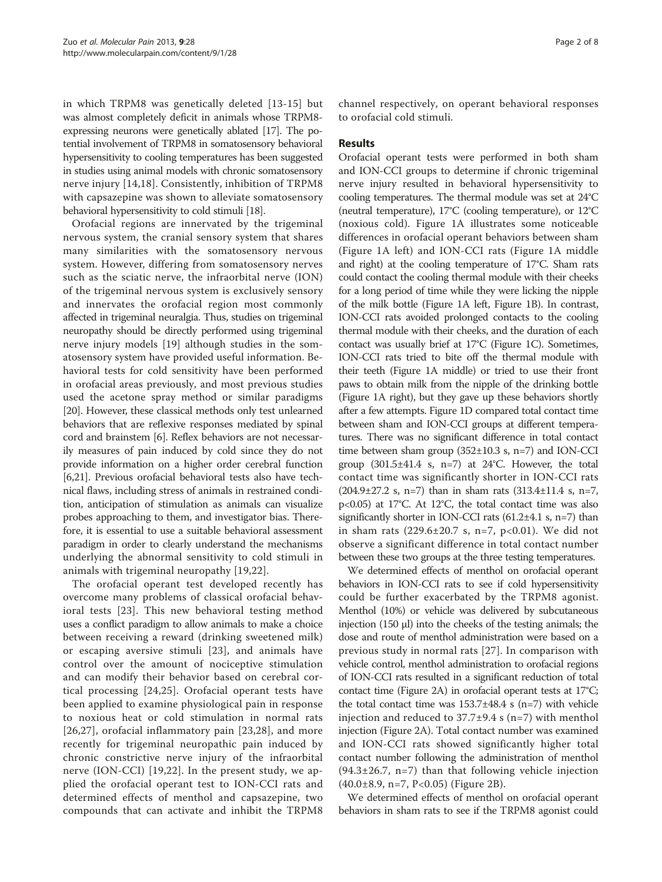in which TRPM8 was genetically deleted [[13-15\]](#page-7-0) but was almost completely deficit in animals whose TRPM8 expressing neurons were genetically ablated [\[17\]](#page-7-0). The potential involvement of TRPM8 in somatosensory behavioral hypersensitivity to cooling temperatures has been suggested in studies using animal models with chronic somatosensory nerve injury [[14,18\]](#page-7-0). Consistently, inhibition of TRPM8 with capsazepine was shown to alleviate somatosensory behavioral hypersensitivity to cold stimuli [\[18\]](#page-7-0).

Orofacial regions are innervated by the trigeminal nervous system, the cranial sensory system that shares many similarities with the somatosensory nervous system. However, differing from somatosensory nerves such as the sciatic nerve, the infraorbital nerve (ION) of the trigeminal nervous system is exclusively sensory and innervates the orofacial region most commonly affected in trigeminal neuralgia. Thus, studies on trigeminal neuropathy should be directly performed using trigeminal nerve injury models [\[19](#page-7-0)] although studies in the somatosensory system have provided useful information. Behavioral tests for cold sensitivity have been performed in orofacial areas previously, and most previous studies used the acetone spray method or similar paradigms [[20](#page-7-0)]. However, these classical methods only test unlearned behaviors that are reflexive responses mediated by spinal cord and brainstem [\[6](#page-7-0)]. Reflex behaviors are not necessarily measures of pain induced by cold since they do not provide information on a higher order cerebral function [[6,21](#page-7-0)]. Previous orofacial behavioral tests also have technical flaws, including stress of animals in restrained condition, anticipation of stimulation as animals can visualize probes approaching to them, and investigator bias. Therefore, it is essential to use a suitable behavioral assessment paradigm in order to clearly understand the mechanisms underlying the abnormal sensitivity to cold stimuli in animals with trigeminal neuropathy [[19,22](#page-7-0)].

The orofacial operant test developed recently has overcome many problems of classical orofacial behavioral tests [[23\]](#page-7-0). This new behavioral testing method uses a conflict paradigm to allow animals to make a choice between receiving a reward (drinking sweetened milk) or escaping aversive stimuli [[23\]](#page-7-0), and animals have control over the amount of nociceptive stimulation and can modify their behavior based on cerebral cortical processing [[24,25](#page-7-0)]. Orofacial operant tests have been applied to examine physiological pain in response to noxious heat or cold stimulation in normal rats [[26](#page-7-0),[27\]](#page-7-0), orofacial inflammatory pain [[23,28](#page-7-0)], and more recently for trigeminal neuropathic pain induced by chronic constrictive nerve injury of the infraorbital nerve (ION-CCI) [[19](#page-7-0),[22\]](#page-7-0). In the present study, we applied the orofacial operant test to ION-CCI rats and determined effects of menthol and capsazepine, two compounds that can activate and inhibit the TRPM8 channel respectively, on operant behavioral responses to orofacial cold stimuli.

## Results

Orofacial operant tests were performed in both sham and ION-CCI groups to determine if chronic trigeminal nerve injury resulted in behavioral hypersensitivity to cooling temperatures. The thermal module was set at 24°C (neutral temperature), 17°C (cooling temperature), or 12°C (noxious cold). Figure [1](#page-2-0)A illustrates some noticeable differences in orofacial operant behaviors between sham (Figure [1](#page-2-0)A left) and ION-CCI rats (Figure [1](#page-2-0)A middle and right) at the cooling temperature of 17°C. Sham rats could contact the cooling thermal module with their cheeks for a long period of time while they were licking the nipple of the milk bottle (Figure [1](#page-2-0)A left, Figure [1](#page-2-0)B). In contrast, ION-CCI rats avoided prolonged contacts to the cooling thermal module with their cheeks, and the duration of each contact was usually brief at 17°C (Figure [1C](#page-2-0)). Sometimes, ION-CCI rats tried to bite off the thermal module with their teeth (Figure [1](#page-2-0)A middle) or tried to use their front paws to obtain milk from the nipple of the drinking bottle (Figure [1](#page-2-0)A right), but they gave up these behaviors shortly after a few attempts. Figure [1](#page-2-0)D compared total contact time between sham and ION-CCI groups at different temperatures. There was no significant difference in total contact time between sham group  $(352\pm10.3 \text{ s}, \text{n=7})$  and ION-CCI group  $(301.5 \pm 41.4 \text{ s}, \text{ n=7})$  at 24°C. However, the total contact time was significantly shorter in ION-CCI rats  $(204.9 \pm 27.2 \text{ s}, \text{ n=7})$  than in sham rats  $(313.4 \pm 11.4 \text{ s}, \text{ n=7})$ p<0.05) at 17°C. At 12°C, the total contact time was also significantly shorter in ION-CCI rats  $(61.2 \pm 4.1 \text{ s}, \text{ n=7})$  than in sham rats  $(229.6 \pm 20.7 \text{ s}, \text{ n=7, p<0.01}).$  We did not observe a significant difference in total contact number between these two groups at the three testing temperatures.

We determined effects of menthol on orofacial operant behaviors in ION-CCI rats to see if cold hypersensitivity could be further exacerbated by the TRPM8 agonist. Menthol (10%) or vehicle was delivered by subcutaneous injection (150 μl) into the cheeks of the testing animals; the dose and route of menthol administration were based on a previous study in normal rats [[27\]](#page-7-0). In comparison with vehicle control, menthol administration to orofacial regions of ION-CCI rats resulted in a significant reduction of total contact time (Figure [2](#page-3-0)A) in orofacial operant tests at 17°C; the total contact time was  $153.7\pm48.4$  s (n=7) with vehicle injection and reduced to  $37.7\pm9.4$  s (n=7) with menthol injection (Figure [2A](#page-3-0)). Total contact number was examined and ION-CCI rats showed significantly higher total contact number following the administration of menthol  $(94.3 \pm 26.7, n=7)$  than that following vehicle injection (40.0±8.9, n=7, P<0.05) (Figure [2B](#page-3-0)).

We determined effects of menthol on orofacial operant behaviors in sham rats to see if the TRPM8 agonist could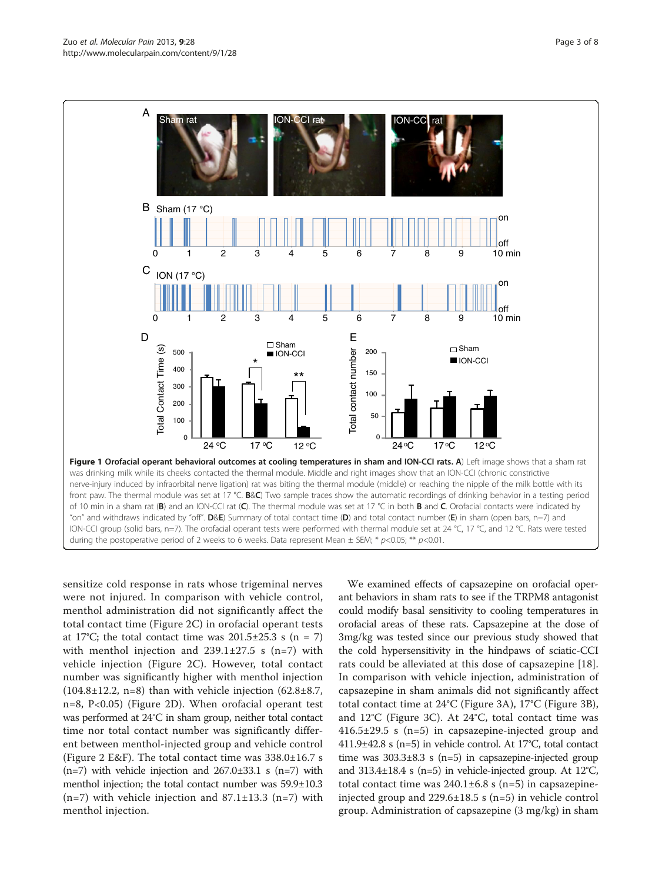<span id="page-2-0"></span>

sensitize cold response in rats whose trigeminal nerves were not injured. In comparison with vehicle control, menthol administration did not significantly affect the total contact time (Figure [2C](#page-3-0)) in orofacial operant tests at 17°C; the total contact time was  $201.5\pm 25.3$  s (n = 7) with menthol injection and  $239.1 \pm 27.5$  s (n=7) with vehicle injection (Figure [2](#page-3-0)C). However, total contact number was significantly higher with menthol injection (104.8 $\pm$ 12.2, n=8) than with vehicle injection (62.8 $\pm$ 8.7, n=8, P<0.05) (Figure [2](#page-3-0)D). When orofacial operant test was performed at 24°C in sham group, neither total contact time nor total contact number was significantly different between menthol-injected group and vehicle control (Figure [2](#page-3-0) E&F). The total contact time was 338.0±16.7 s (n=7) with vehicle injection and  $267.0\pm33.1$  s (n=7) with menthol injection; the total contact number was 59.9±10.3  $(n=7)$  with vehicle injection and 87.1 $\pm$ 13.3 (n=7) with menthol injection.

We examined effects of capsazepine on orofacial operant behaviors in sham rats to see if the TRPM8 antagonist could modify basal sensitivity to cooling temperatures in orofacial areas of these rats. Capsazepine at the dose of 3mg/kg was tested since our previous study showed that the cold hypersensitivity in the hindpaws of sciatic-CCI rats could be alleviated at this dose of capsazepine [\[18](#page-7-0)]. In comparison with vehicle injection, administration of capsazepine in sham animals did not significantly affect total contact time at 24°C (Figure [3A](#page-4-0)), 17°C (Figure [3](#page-4-0)B), and 12°C (Figure [3](#page-4-0)C). At 24°C, total contact time was 416.5±29.5 s (n=5) in capsazepine-injected group and 411.9±42.8 s (n=5) in vehicle control. At 17°C, total contact time was  $303.3\pm8.3$  s (n=5) in capsazepine-injected group and 313.4±18.4 s (n=5) in vehicle-injected group. At 12°C, total contact time was  $240.1\pm6.8$  s (n=5) in capsazepineinjected group and  $229.6 \pm 18.5$  s (n=5) in vehicle control group. Administration of capsazepine (3 mg/kg) in sham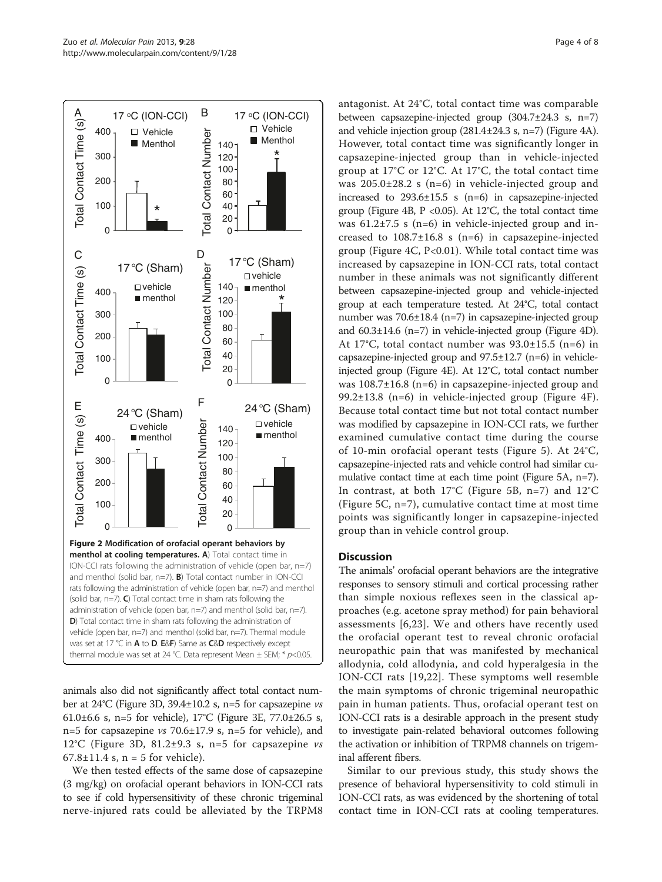<span id="page-3-0"></span>

animals also did not significantly affect total contact number at 24°C (Figure [3](#page-4-0)D, 39.4±10.2 s, n=5 for capsazepine vs 61.0±6.6 s, n=5 for vehicle), 17°C (Figure [3E](#page-4-0), 77.0±26.5 s, n=5 for capsazepine *vs* 70.6 $\pm$ 17.9 s, n=5 for vehicle), and 12°C (Figure [3D](#page-4-0), 81.2±9.3 s, n=5 for capsazepine vs  $67.8 \pm 11.4$  s,  $n = 5$  for vehicle).

We then tested effects of the same dose of capsazepine (3 mg/kg) on orofacial operant behaviors in ION-CCI rats to see if cold hypersensitivity of these chronic trigeminal nerve-injured rats could be alleviated by the TRPM8

antagonist. At 24°C, total contact time was comparable between capsazepine-injected group (304.7±24.3 s, n=7) and vehicle injection group (281.4±24.3 s, n=7) (Figure [4A](#page-4-0)). However, total contact time was significantly longer in capsazepine-injected group than in vehicle-injected group at 17°C or 12°C. At 17°C, the total contact time was  $205.0\pm28.2$  s (n=6) in vehicle-injected group and increased to 293.6±15.5 s (n=6) in capsazepine-injected group (Figure [4B](#page-4-0),  $P < 0.05$ ). At 12°C, the total contact time was  $61.2\pm7.5$  s (n=6) in vehicle-injected group and increased to 108.7±16.8 s (n=6) in capsazepine-injected group (Figure [4C](#page-4-0), P<0.01). While total contact time was increased by capsazepine in ION-CCI rats, total contact number in these animals was not significantly different between capsazepine-injected group and vehicle-injected group at each temperature tested. At 24°C, total contact number was 70.6±18.4 (n=7) in capsazepine-injected group and 60.3±14.6 (n=7) in vehicle-injected group (Figure [4](#page-4-0)D). At 17°C, total contact number was 93.0±15.5 (n=6) in capsazepine-injected group and 97.5±12.7 (n=6) in vehicleinjected group (Figure [4E](#page-4-0)). At 12°C, total contact number was 108.7±16.8 (n=6) in capsazepine-injected group and 99.2±13.8 (n=6) in vehicle-injected group (Figure [4F](#page-4-0)). Because total contact time but not total contact number was modified by capsazepine in ION-CCI rats, we further examined cumulative contact time during the course of 10-min orofacial operant tests (Figure [5](#page-5-0)). At 24°C, capsazepine-injected rats and vehicle control had similar cumulative contact time at each time point (Figure [5A](#page-5-0), n=7). In contrast, at both  $17^{\circ}$ C (Figure [5](#page-5-0)B, n=7) and  $12^{\circ}$ C (Figure [5C](#page-5-0), n=7), cumulative contact time at most time points was significantly longer in capsazepine-injected group than in vehicle control group.

## **Discussion**

The animals' orofacial operant behaviors are the integrative responses to sensory stimuli and cortical processing rather than simple noxious reflexes seen in the classical approaches (e.g. acetone spray method) for pain behavioral assessments [[6,23\]](#page-7-0). We and others have recently used the orofacial operant test to reveal chronic orofacial neuropathic pain that was manifested by mechanical allodynia, cold allodynia, and cold hyperalgesia in the ION-CCI rats [\[19,22](#page-7-0)]. These symptoms well resemble the main symptoms of chronic trigeminal neuropathic pain in human patients. Thus, orofacial operant test on ION-CCI rats is a desirable approach in the present study to investigate pain-related behavioral outcomes following the activation or inhibition of TRPM8 channels on trigeminal afferent fibers.

Similar to our previous study, this study shows the presence of behavioral hypersensitivity to cold stimuli in ION-CCI rats, as was evidenced by the shortening of total contact time in ION-CCI rats at cooling temperatures.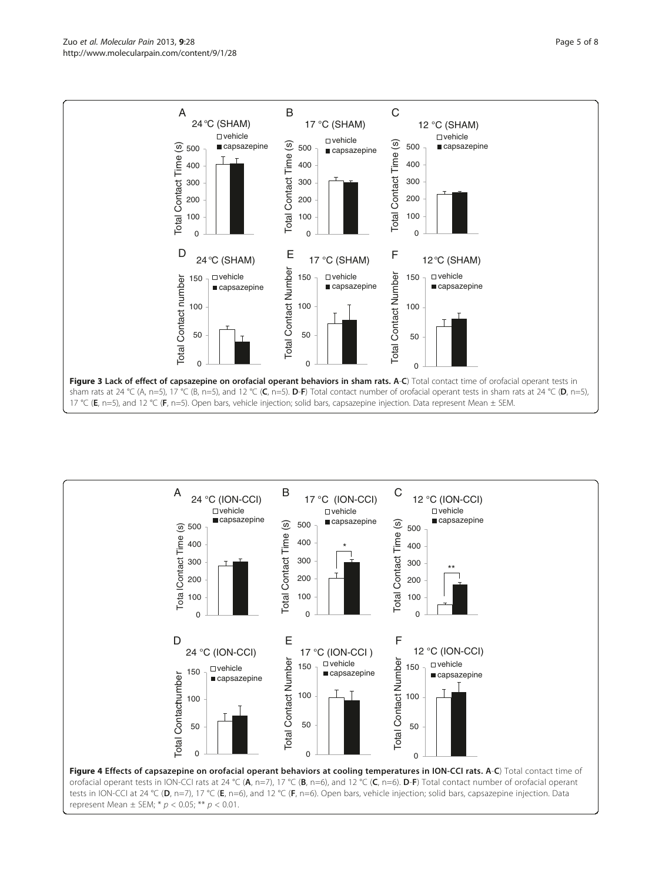<span id="page-4-0"></span>

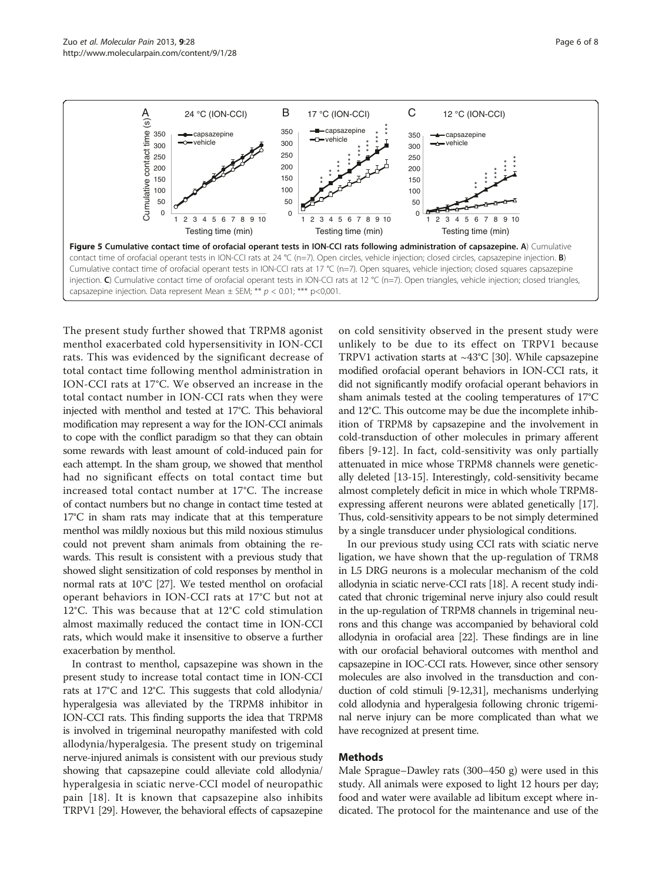<span id="page-5-0"></span>

The present study further showed that TRPM8 agonist menthol exacerbated cold hypersensitivity in ION-CCI rats. This was evidenced by the significant decrease of total contact time following menthol administration in ION-CCI rats at 17°C. We observed an increase in the total contact number in ION-CCI rats when they were injected with menthol and tested at 17°C. This behavioral modification may represent a way for the ION-CCI animals to cope with the conflict paradigm so that they can obtain some rewards with least amount of cold-induced pain for each attempt. In the sham group, we showed that menthol had no significant effects on total contact time but increased total contact number at 17°C. The increase of contact numbers but no change in contact time tested at 17°C in sham rats may indicate that at this temperature menthol was mildly noxious but this mild noxious stimulus could not prevent sham animals from obtaining the rewards. This result is consistent with a previous study that showed slight sensitization of cold responses by menthol in normal rats at 10°C [\[27\]](#page-7-0). We tested menthol on orofacial operant behaviors in ION-CCI rats at 17°C but not at 12°C. This was because that at 12°C cold stimulation almost maximally reduced the contact time in ION-CCI rats, which would make it insensitive to observe a further exacerbation by menthol.

In contrast to menthol, capsazepine was shown in the present study to increase total contact time in ION-CCI rats at 17°C and 12°C. This suggests that cold allodynia/ hyperalgesia was alleviated by the TRPM8 inhibitor in ION-CCI rats. This finding supports the idea that TRPM8 is involved in trigeminal neuropathy manifested with cold allodynia/hyperalgesia. The present study on trigeminal nerve-injured animals is consistent with our previous study showing that capsazepine could alleviate cold allodynia/ hyperalgesia in sciatic nerve-CCI model of neuropathic pain [[18](#page-7-0)]. It is known that capsazepine also inhibits TRPV1 [\[29\]](#page-7-0). However, the behavioral effects of capsazepine on cold sensitivity observed in the present study were unlikely to be due to its effect on TRPV1 because TRPV1 activation starts at ~43°C [[30](#page-7-0)]. While capsazepine modified orofacial operant behaviors in ION-CCI rats, it did not significantly modify orofacial operant behaviors in sham animals tested at the cooling temperatures of 17°C and 12°C. This outcome may be due the incomplete inhibition of TRPM8 by capsazepine and the involvement in cold-transduction of other molecules in primary afferent fibers [[9-12\]](#page-7-0). In fact, cold-sensitivity was only partially attenuated in mice whose TRPM8 channels were genetically deleted [[13](#page-7-0)-[15](#page-7-0)]. Interestingly, cold-sensitivity became almost completely deficit in mice in which whole TRPM8 expressing afferent neurons were ablated genetically [[17](#page-7-0)]. Thus, cold-sensitivity appears to be not simply determined by a single transducer under physiological conditions.

In our previous study using CCI rats with sciatic nerve ligation, we have shown that the up-regulation of TRM8 in L5 DRG neurons is a molecular mechanism of the cold allodynia in sciatic nerve-CCI rats [[18](#page-7-0)]. A recent study indicated that chronic trigeminal nerve injury also could result in the up-regulation of TRPM8 channels in trigeminal neurons and this change was accompanied by behavioral cold allodynia in orofacial area [[22](#page-7-0)]. These findings are in line with our orofacial behavioral outcomes with menthol and capsazepine in IOC-CCI rats. However, since other sensory molecules are also involved in the transduction and conduction of cold stimuli [[9](#page-7-0)-[12,31](#page-7-0)], mechanisms underlying cold allodynia and hyperalgesia following chronic trigeminal nerve injury can be more complicated than what we have recognized at present time.

## Methods

Male Sprague–Dawley rats (300–450 g) were used in this study. All animals were exposed to light 12 hours per day; food and water were available ad libitum except where indicated. The protocol for the maintenance and use of the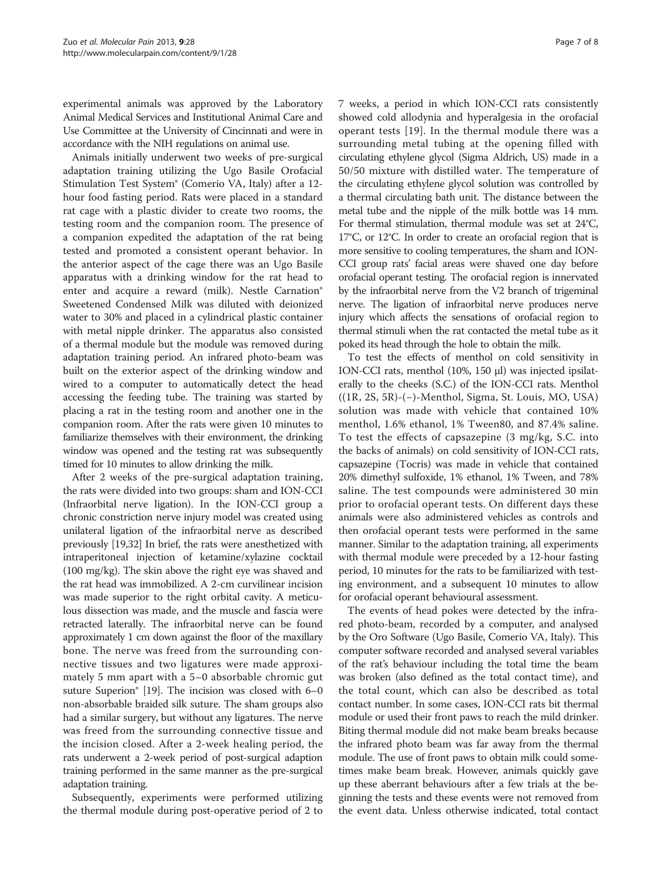experimental animals was approved by the Laboratory Animal Medical Services and Institutional Animal Care and Use Committee at the University of Cincinnati and were in accordance with the NIH regulations on animal use.

Animals initially underwent two weeks of pre-surgical adaptation training utilizing the Ugo Basile Orofacial Stimulation Test System® (Comerio VA, Italy) after a 12 hour food fasting period. Rats were placed in a standard rat cage with a plastic divider to create two rooms, the testing room and the companion room. The presence of a companion expedited the adaptation of the rat being tested and promoted a consistent operant behavior. In the anterior aspect of the cage there was an Ugo Basile apparatus with a drinking window for the rat head to enter and acquire a reward (milk). Nestle Carnation® Sweetened Condensed Milk was diluted with deionized water to 30% and placed in a cylindrical plastic container with metal nipple drinker. The apparatus also consisted of a thermal module but the module was removed during adaptation training period. An infrared photo-beam was built on the exterior aspect of the drinking window and wired to a computer to automatically detect the head accessing the feeding tube. The training was started by placing a rat in the testing room and another one in the companion room. After the rats were given 10 minutes to familiarize themselves with their environment, the drinking window was opened and the testing rat was subsequently timed for 10 minutes to allow drinking the milk.

After 2 weeks of the pre-surgical adaptation training, the rats were divided into two groups: sham and ION-CCI (Infraorbital nerve ligation). In the ION-CCI group a chronic constriction nerve injury model was created using unilateral ligation of the infraorbital nerve as described previously [\[19,32\]](#page-7-0) In brief, the rats were anesthetized with intraperitoneal injection of ketamine/xylazine cocktail (100 mg/kg). The skin above the right eye was shaved and the rat head was immobilized. A 2-cm curvilinear incision was made superior to the right orbital cavity. A meticulous dissection was made, and the muscle and fascia were retracted laterally. The infraorbital nerve can be found approximately 1 cm down against the floor of the maxillary bone. The nerve was freed from the surrounding connective tissues and two ligatures were made approximately 5 mm apart with a 5–0 absorbable chromic gut suture Superion® [[19](#page-7-0)]. The incision was closed with 6–0 non-absorbable braided silk suture. The sham groups also had a similar surgery, but without any ligatures. The nerve was freed from the surrounding connective tissue and the incision closed. After a 2-week healing period, the rats underwent a 2-week period of post-surgical adaption training performed in the same manner as the pre-surgical adaptation training.

Subsequently, experiments were performed utilizing the thermal module during post-operative period of 2 to 7 weeks, a period in which ION-CCI rats consistently showed cold allodynia and hyperalgesia in the orofacial operant tests [\[19\]](#page-7-0). In the thermal module there was a surrounding metal tubing at the opening filled with circulating ethylene glycol (Sigma Aldrich, US) made in a 50/50 mixture with distilled water. The temperature of the circulating ethylene glycol solution was controlled by a thermal circulating bath unit. The distance between the metal tube and the nipple of the milk bottle was 14 mm. For thermal stimulation, thermal module was set at 24°C, 17°C, or 12°C. In order to create an orofacial region that is more sensitive to cooling temperatures, the sham and ION-CCI group rats' facial areas were shaved one day before orofacial operant testing. The orofacial region is innervated by the infraorbital nerve from the V2 branch of trigeminal nerve. The ligation of infraorbital nerve produces nerve injury which affects the sensations of orofacial region to thermal stimuli when the rat contacted the metal tube as it poked its head through the hole to obtain the milk.

To test the effects of menthol on cold sensitivity in ION-CCI rats, menthol (10%, 150 μl) was injected ipsilaterally to the cheeks (S.C.) of the ION-CCI rats. Menthol ((1R, 2S, 5R)-(−)-Menthol, Sigma, St. Louis, MO, USA) solution was made with vehicle that contained 10% menthol, 1.6% ethanol, 1% Tween80, and 87.4% saline. To test the effects of capsazepine (3 mg/kg, S.C. into the backs of animals) on cold sensitivity of ION-CCI rats, capsazepine (Tocris) was made in vehicle that contained 20% dimethyl sulfoxide, 1% ethanol, 1% Tween, and 78% saline. The test compounds were administered 30 min prior to orofacial operant tests. On different days these animals were also administered vehicles as controls and then orofacial operant tests were performed in the same manner. Similar to the adaptation training, all experiments with thermal module were preceded by a 12-hour fasting period, 10 minutes for the rats to be familiarized with testing environment, and a subsequent 10 minutes to allow for orofacial operant behavioural assessment.

The events of head pokes were detected by the infrared photo-beam, recorded by a computer, and analysed by the Oro Software (Ugo Basile, Comerio VA, Italy). This computer software recorded and analysed several variables of the rat's behaviour including the total time the beam was broken (also defined as the total contact time), and the total count, which can also be described as total contact number. In some cases, ION-CCI rats bit thermal module or used their front paws to reach the mild drinker. Biting thermal module did not make beam breaks because the infrared photo beam was far away from the thermal module. The use of front paws to obtain milk could sometimes make beam break. However, animals quickly gave up these aberrant behaviours after a few trials at the beginning the tests and these events were not removed from the event data. Unless otherwise indicated, total contact